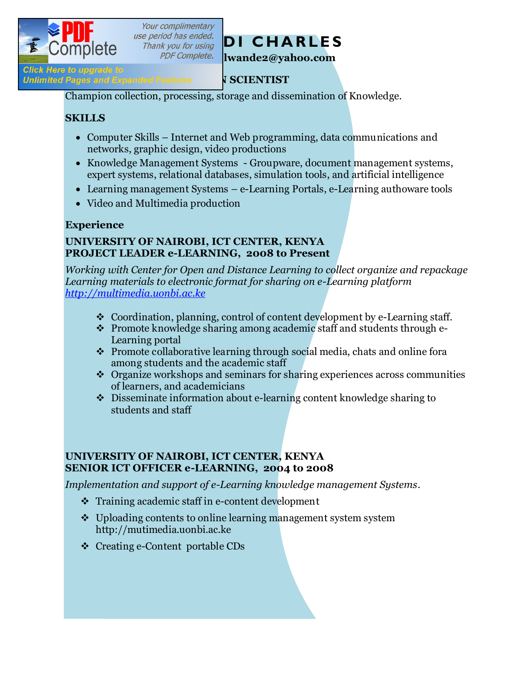

Your complimentary



**Profillo Figure 19**<br> **Profillation: Unlimited Pages and Expanded Features** Panc**e Scientist** 

Champion collection, processing, storage and dissemination of Knowledge.

#### **SKILLS**

- · Computer Skills Internet and Web programming, data communications and networks, graphic design, video productions
- · Knowledge Management Systems Groupware, document management systems, expert systems, relational databases, simulation tools, and artificial intelligence
- Learning management Systems e-Learning Portals, e-Learning authoware tools
- · Video and Multimedia production

# **Experience**

#### **UNIVERSITY OF NAIROBI, ICT CENTER, KENYA PROJECT LEADER e-LEARNING, 2008 to Present**

*Working with Center for Open and Distance Learning to collect organize and repackage Learning materials to electronic format for sharing on e-Learning platform http://multimedia.uonbi.ac.ke*

- Coordination, planning, control of content development by e-Learning staff.
- $\cdot \cdot$  Promote knowledge sharing among academic staff and students through e-Learning portal
- $\hat{\cdot}$  Promote collaborative learning through social media, chats and online fora among students and the academic staff
- $\triangleleft$  Organize workshops and seminars for sharing experiences across communities of learners, and academicians
- $\bullet$  Disseminate information about e-learning content knowledge sharing to students and staff

### **UNIVERSITY OF NAIROBI, ICT CENTER, KENYA SENIOR ICT OFFICER e-LEARNING, 2004 to 2008**

*Implementation and support of e-Learning knowledge management Systems.*

- $\cdot$  Training academic staff in e-content development
- $\cdot$  Uploading contents to online learning management system system http://mutimedia.uonbi.ac.ke
- v Creating e-Content portable CDs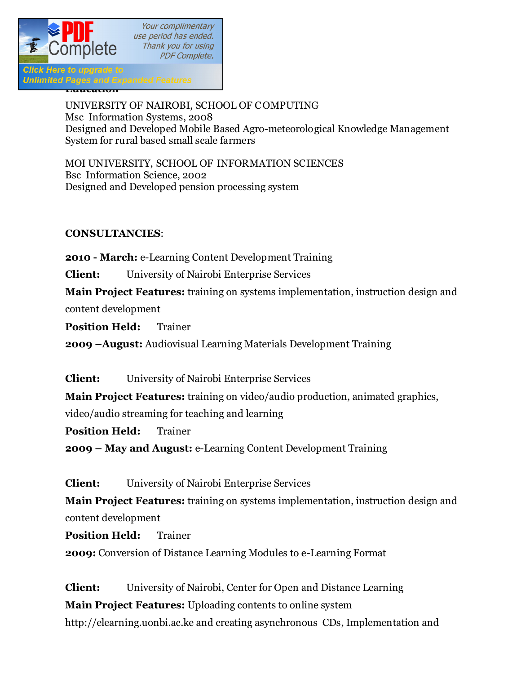

UNIVERSITY OF NAIROBI, SCHOOL OF C OMPUTING Msc Information Systems, 2008 Designed and Developed Mobile Based Agro-meteorological Knowledge Management System for rural based small scale farmers

MOI UNIVERSITY, SCHOOL OF INFORMATION SCIENCES Bsc Information Science, 2002 Designed and Developed pension processing system

#### **CONSULTANCIES**:

**2010 - March:** e-Learning Content Development Training

**Client:** University of Nairobi Enterprise Services

**Main Project Features:** training on systems implementation, instruction design and content development

**Position Held:** Trainer

**2009 –August:** Audiovisual Learning Materials Development Training

**Client:** University of Nairobi Enterprise Services

**Main Project Features:** training on video/audio production, animated graphics, video/audio streaming for teaching and learning

**Position Held:** Trainer

**2009 – May and August:** e-Learning Content Development Training

**Client:** University of Nairobi Enterprise Services

**Main Project Features:** training on systems implementation, instruction design and content development

**Position Held:** Trainer

**2009:** Conversion of Distance Learning Modules to e-Learning Format

**Client:** University of Nairobi, Center for Open and Distance Learning **Main Project Features:** Uploading contents to online system http://elearning.uonbi.ac.ke and creating asynchronous CDs, Implementation and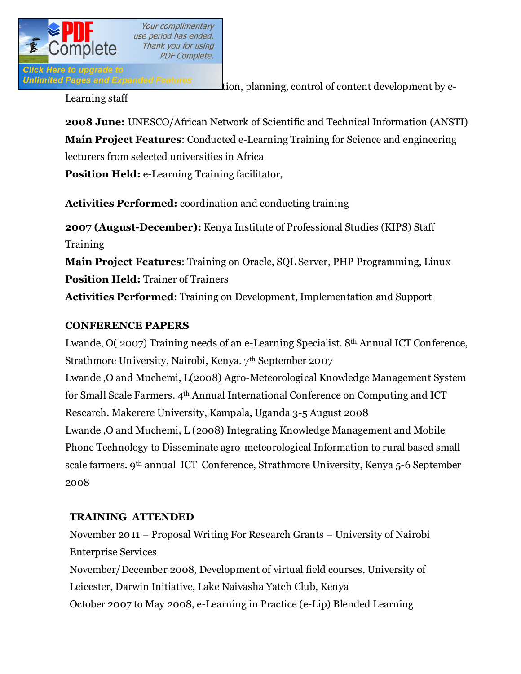

**Unlimited Pages and Expanded Features** tion, planning, control of content development by e-

Learning staff

**2008 June:** UNESCO/African Network of Scientific and Technical Information (ANSTI) **Main Project Features**: Conducted e-Learning Training for Science and engineering lecturers from selected universities in Africa

**Position Held:** e-Learning Training facilitator,

**Activities Performed:** coordination and conducting training

**2007 (August-December):** Kenya Institute of Professional Studies (KIPS) Staff Training **Main Project Features**: Training on Oracle, SQL Server, PHP Programming, Linux **Position Held:** Trainer of Trainers **Activities Performed**: Training on Development, Implementation and Support

#### **CONFERENCE PAPERS**

Lwande, O( 2007) Training needs of an e-Learning Specialist. 8th Annual ICT Conference, Strathmore University, Nairobi, Kenya. 7th September 2007 Lwande ,O and Muchemi, L(2008) Agro-Meteorological Knowledge Management System for Small Scale Farmers. 4th Annual International Conference on Computing and ICT Research. Makerere University, Kampala, Uganda 3-5 August 2008 Lwande ,O and Muchemi, L (2008) Integrating Knowledge Management and Mobile Phone Technology to Disseminate agro-meteorological Information to rural based small scale farmers. 9th annual ICT Conference, Strathmore University, Kenya 5-6 September 2008

## **TRAINING ATTENDED**

November 2011 – Proposal Writing For Research Grants – University of Nairobi Enterprise Services November/December 2008, Development of virtual field courses, University of Leicester, Darwin Initiative, Lake Naivasha Yatch Club, Kenya October 2007 to May 2008, e-Learning in Practice (e-Lip) Blended Learning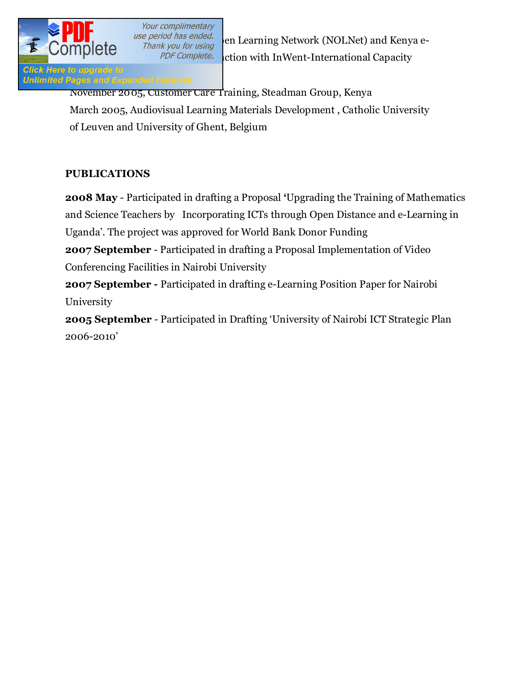

Your complimentary

use period has ended.<br>Thank you for using en Learning Network (NOLNet) and Kenya e-PDF Complete. ction with InWent-International Capacity

# Click Here to upgrade to<br>Unlimited Pages and Expanded Features

November 2005, Customer Care Training, Steadman Group, Kenya March 2005, Audiovisual Learning Materials Development , Catholic University of Leuven and University of Ghent, Belgium

#### **PUBLICATIONS**

**2008 May** - Participated in drafting a Proposal **'**Upgrading the Training of Mathematics and Science Teachers by Incorporating ICTs through Open Distance and e-Learning in Uganda'. The project was approved for World Bank Donor Funding

**2007 September** - Participated in drafting a Proposal Implementation of Video Conferencing Facilities in Nairobi University

**2007 September -** Participated in drafting e-Learning Position Paper for Nairobi University

**2005 September** - Participated in Drafting 'University of Nairobi ICT Strategic Plan 2006-2010'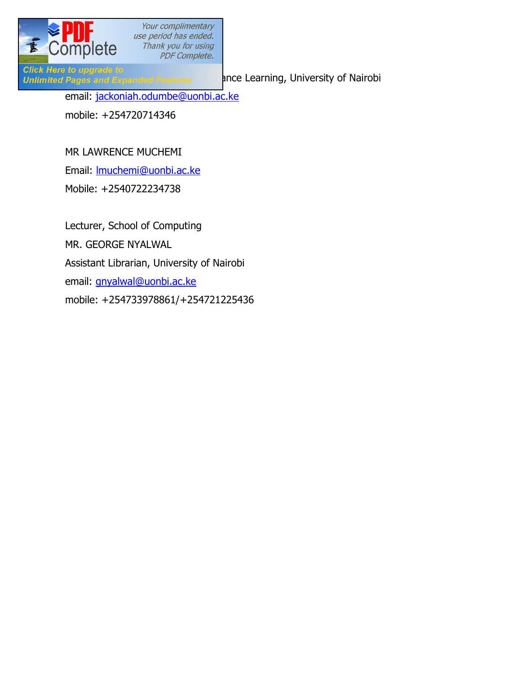

Your complimentary use period has ended. **OMPIETE** Thank you for using Thank of The Complete. Thank you for using

Click Here to upgrade to<br>Unlimited Pages and Expanded Features and ance Learning, University of Nairobi email: jackoniah.odumbe@uonbi.ac.ke mobile: +254720714346

#### MR LAWRENCE MUCHEMI

Email: lmuchemi@uonbi.ac.ke

Mobile: +2540722234738

Lecturer, School of Computing MR. GEORGE NYALWAL Assistant Librarian, University of Nairobi email: gnyalwal@uonbi.ac.ke mobile: +254733978861/+254721225436